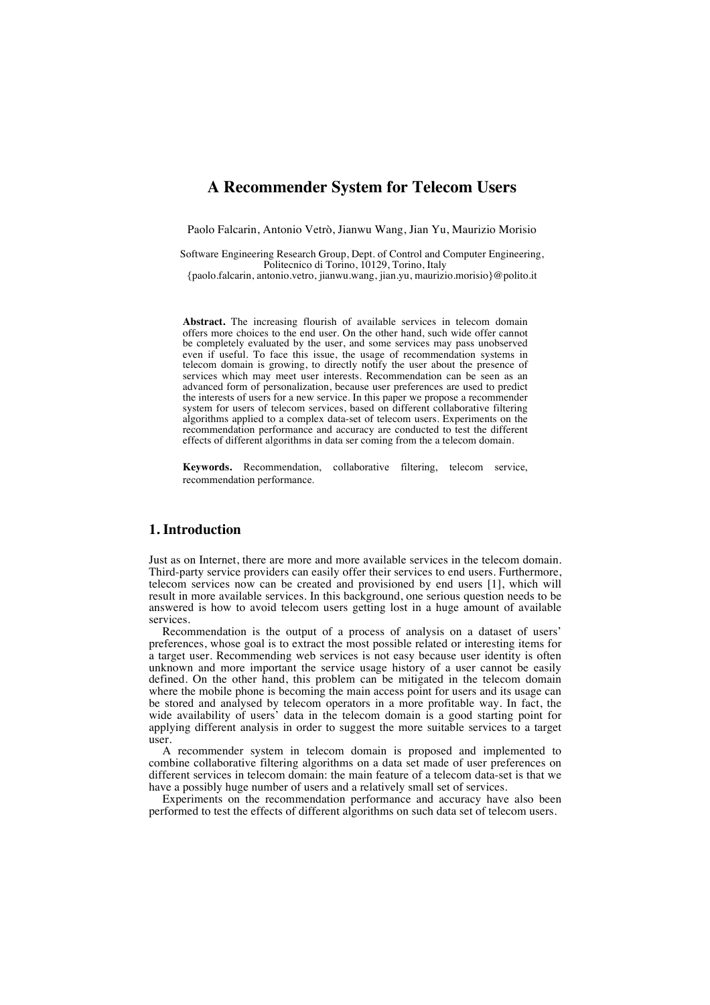# **A Recommender System for Telecom Users**

Paolo Falcarin, Antonio Vetrò, Jianwu Wang, Jian Yu, Maurizio Morisio

Software Engineering Research Group, Dept. of Control and Computer Engineering, Politecnico di Torino, 10129, Torino, Italy

{paolo.falcarin, antonio.vetro, jianwu.wang, jian.yu, maurizio.morisio}@polito.it

Abstract. The increasing flourish of available services in telecom domain offers more choices to the end user. On the other hand, such wide offer cannot be completely evaluated by the user, and some services may pass unobserved even if useful. To face this issue, the usage of recommendation systems in telecom domain is growing, to directly notify the user about the presence of services which may meet user interests. Recommendation can be seen as an advanced form of personalization, because user preferences are used to predict the interests of users for a new service. In this paper we propose a recommender system for users of telecom services, based on different collaborative filtering algorithms applied to a complex data-set of telecom users. Experiments on the recommendation performance and accuracy are conducted to test the different effects of different algorithms in data ser coming from the a telecom domain.

**Keywords.** Recommendation, collaborative filtering, telecom service, recommendation performance.

# **1. Introduction**

Just as on Internet, there are more and more available services in the telecom domain. Third-party service providers can easily offer their services to end users. Furthermore, telecom services now can be created and provisioned by end users [1], which will result in more available services. In this background, one serious question needs to be answered is how to avoid telecom users getting lost in a huge amount of available services.

Recommendation is the output of a process of analysis on a dataset of users' preferences, whose goal is to extract the most possible related or interesting items for a target user. Recommending web services is not easy because user identity is often unknown and more important the service usage history of a user cannot be easily defined. On the other hand, this problem can be mitigated in the telecom domain where the mobile phone is becoming the main access point for users and its usage can be stored and analysed by telecom operators in a more profitable way. In fact, the wide availability of users' data in the telecom domain is a good starting point for applying different analysis in order to suggest the more suitable services to a target user.

A recommender system in telecom domain is proposed and implemented to combine collaborative filtering algorithms on a data set made of user preferences on different services in telecom domain: the main feature of a telecom data-set is that we have a possibly huge number of users and a relatively small set of services.

Experiments on the recommendation performance and accuracy have also been performed to test the effects of different algorithms on such data set of telecom users.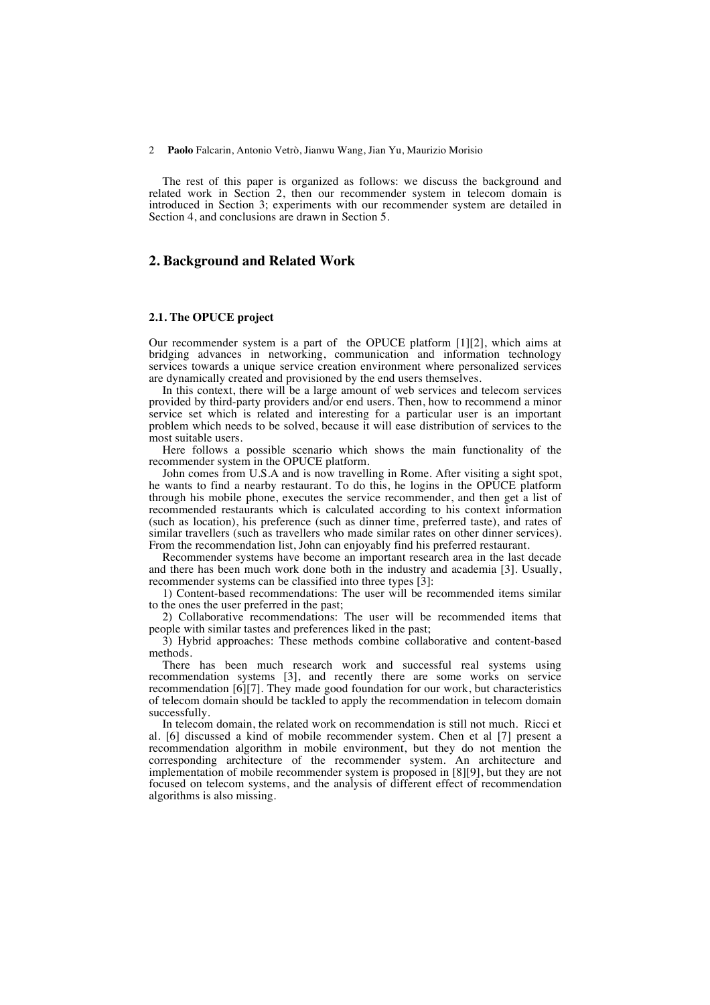The rest of this paper is organized as follows: we discuss the background and related work in Section 2, then our recommender system in telecom domain is introduced in Section 3; experiments with our recommender system are detailed in Section 4, and conclusions are drawn in Section 5.

# **2. Background and Related Work**

#### **2.1. The OPUCE project**

Our recommender system is a part of the OPUCE platform [1][2], which aims at bridging advances in networking, communication and information technology services towards a unique service creation environment where personalized services are dynamically created and provisioned by the end users themselves.

In this context, there will be a large amount of web services and telecom services provided by third-party providers and/or end users. Then, how to recommend a minor service set which is related and interesting for a particular user is an important problem which needs to be solved, because it will ease distribution of services to the most suitable users.

Here follows a possible scenario which shows the main functionality of the recommender system in the OPUCE platform.

John comes from U.S.A and is now travelling in Rome. After visiting a sight spot, he wants to find a nearby restaurant. To do this, he logins in the OPUCE platform through his mobile phone, executes the service recommender, and then get a list of recommended restaurants which is calculated according to his context information (such as location), his preference (such as dinner time, preferred taste), and rates of similar travellers (such as travellers who made similar rates on other dinner services). From the recommendation list, John can enjoyably find his preferred restaurant.

Recommender systems have become an important research area in the last decade and there has been much work done both in the industry and academia [3]. Usually, recommender systems can be classified into three types [3]:

1) Content-based recommendations: The user will be recommended items similar to the ones the user preferred in the past;

2) Collaborative recommendations: The user will be recommended items that people with similar tastes and preferences liked in the past;

3) Hybrid approaches: These methods combine collaborative and content-based methods.

There has been much research work and successful real systems using recommendation systems [3], and recently there are some works on service recommendation [6][7]. They made good foundation for our work, but characteristics of telecom domain should be tackled to apply the recommendation in telecom domain successfully.

In telecom domain, the related work on recommendation is still not much. Ricci et al. [6] discussed a kind of mobile recommender system. Chen et al [7] present a recommendation algorithm in mobile environment, but they do not mention the corresponding architecture of the recommender system. An architecture and implementation of mobile recommender system is proposed in [8][9], but they are not focused on telecom systems, and the analysis of different effect of recommendation algorithms is also missing.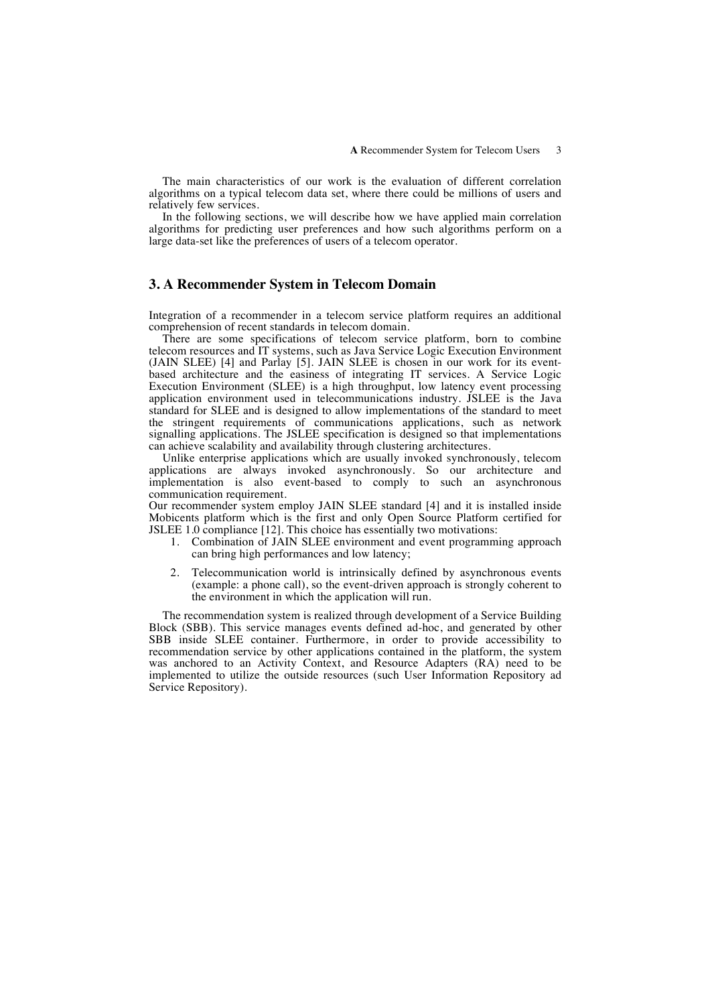The main characteristics of our work is the evaluation of different correlation algorithms on a typical telecom data set, where there could be millions of users and relatively few services.

In the following sections, we will describe how we have applied main correlation algorithms for predicting user preferences and how such algorithms perform on a large data-set like the preferences of users of a telecom operator.

# **3. A Recommender System in Telecom Domain**

Integration of a recommender in a telecom service platform requires an additional comprehension of recent standards in telecom domain.

There are some specifications of telecom service platform, born to combine telecom resources and IT systems, such as Java Service Logic Execution Environment (JAIN SLEE) [4] and Parlay [5]. JAIN SLEE is chosen in our work for its eventbased architecture and the easiness of integrating IT services. A Service Logic Execution Environment (SLEE) is a high throughput, low latency event processing application environment used in telecommunications industry. JSLEE is the Java standard for SLEE and is designed to allow implementations of the standard to meet the stringent requirements of communications applications, such as network signalling applications. The JSLEE specification is designed so that implementations can achieve scalability and availability through clustering architectures.

Unlike enterprise applications which are usually invoked synchronously, telecom applications are always invoked asynchronously. So our architecture and implementation is also event-based to comply to such an asynchronous communication requirement.

Our recommender system employ JAIN SLEE standard [4] and it is installed inside Mobicents platform which is the first and only Open Source Platform certified for JSLEE 1.0 compliance [12]. This choice has essentially two motivations:

- 1. Combination of JAIN SLEE environment and event programming approach can bring high performances and low latency;
- 2. Telecommunication world is intrinsically defined by asynchronous events (example: a phone call), so the event-driven approach is strongly coherent to the environment in which the application will run.

The recommendation system is realized through development of a Service Building Block (SBB). This service manages events defined ad-hoc, and generated by other SBB inside SLEE container. Furthermore, in order to provide accessibility to recommendation service by other applications contained in the platform, the system was anchored to an Activity Context, and Resource Adapters (RA) need to be implemented to utilize the outside resources (such User Information Repository ad Service Repository).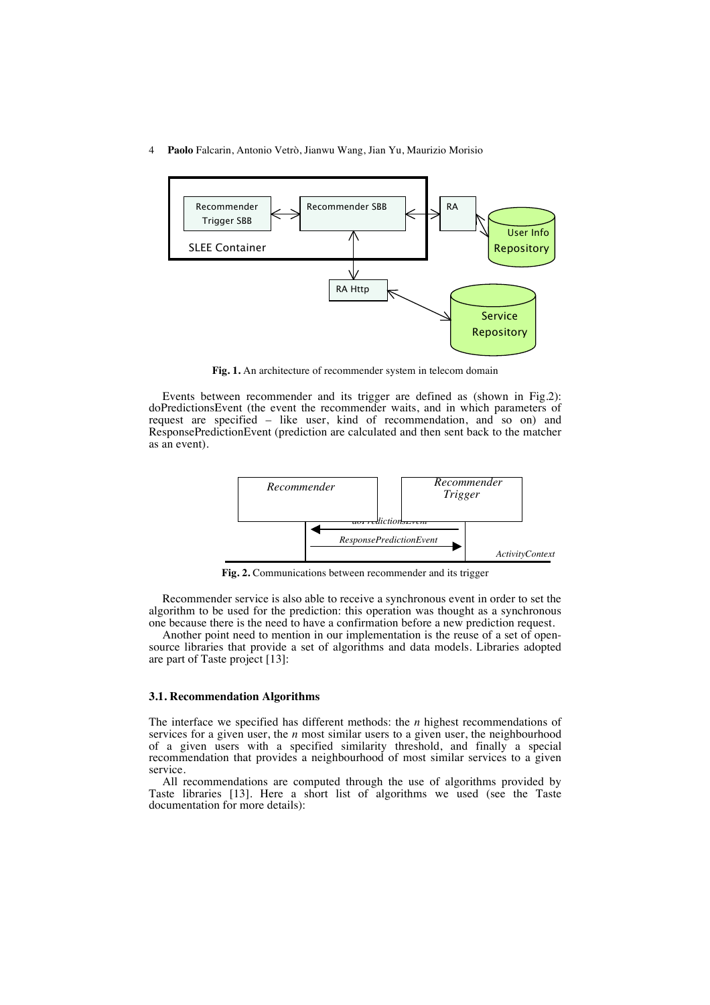

**Fig. 1.** An architecture of recommender system in telecom domain

Events between recommender and its trigger are defined as (shown in Fig.2): doPredictionsEvent (the event the recommender waits, and in which parameters of request are specified – like user, kind of recommendation, and so on) and ResponsePredictionEvent (prediction are calculated and then sent back to the matcher as an event).



**Fig. 2.** Communications between recommender and its trigger

Recommender service is also able to receive a synchronous event in order to set the algorithm to be used for the prediction: this operation was thought as a synchronous one because there is the need to have a confirmation before a new prediction request.

Another point need to mention in our implementation is the reuse of a set of opensource libraries that provide a set of algorithms and data models. Libraries adopted are part of Taste project [13]:

### **3.1. Recommendation Algorithms**

The interface we specified has different methods: the *n* highest recommendations of services for a given user, the *n* most similar users to a given user, the neighbourhood of a given users with a specified similarity threshold, and finally a special recommendation that provides a neighbourhood of most similar services to a given service.

All recommendations are computed through the use of algorithms provided by Taste libraries [13]. Here a short list of algorithms we used (see the Taste documentation for more details):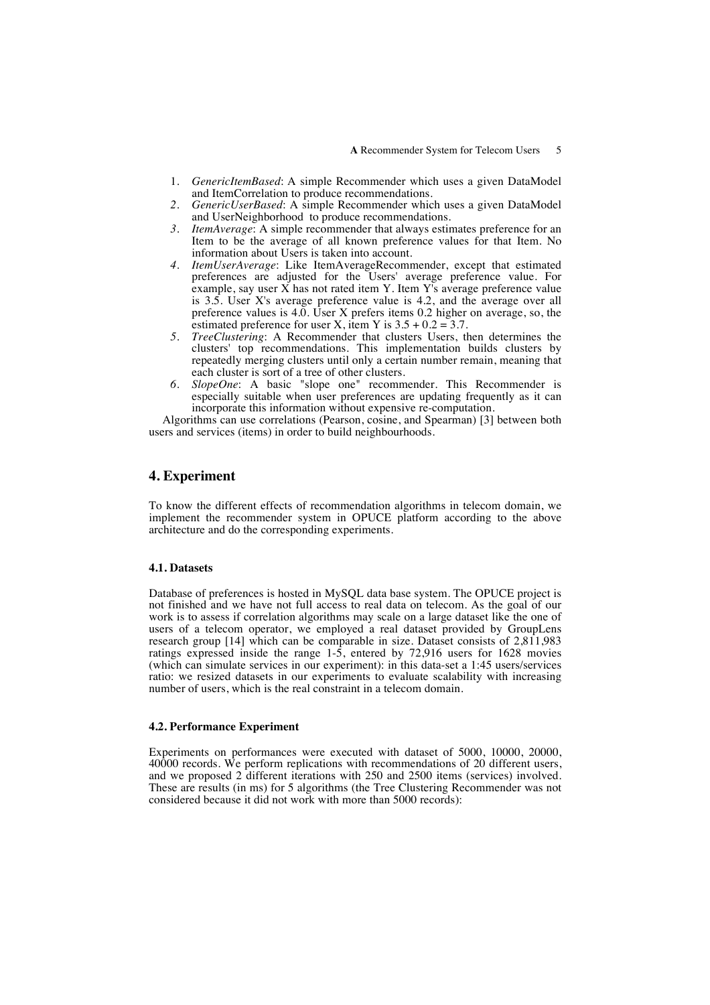- 1. *GenericItemBased*: A simple Recommender which uses a given DataModel and ItemCorrelation to produce recommendations.
- *2. GenericUserBased*: A simple Recommender which uses a given DataModel and UserNeighborhood to produce recommendations*.*
- *3. ItemAverage*: A simple recommender that always estimates preference for an Item to be the average of all known preference values for that Item. No information about Users is taken into account.
- *4. ItemUserAverage*: Like ItemAverageRecommender, except that estimated preferences are adjusted for the Users' average preference value. For example, say user  $\overrightarrow{X}$  has not rated item Y. Item Y's average preference value is 3.5. User X's average preference value is 4.2, and the average over all preference values is  $4.\overline{0}$ . User X prefers items 0.2 higher on average, so, the estimated preference for user X, item Y is  $3.5 + 0.2 = 3.7$ .
- *5. TreeClustering*: A Recommender that clusters Users, then determines the clusters' top recommendations. This implementation builds clusters by repeatedly merging clusters until only a certain number remain, meaning that each cluster is sort of a tree of other clusters.
- *6. SlopeOne*: A basic "slope one" recommender. This Recommender is especially suitable when user preferences are updating frequently as it can incorporate this information without expensive re-computation.

Algorithms can use correlations (Pearson, cosine, and Spearman) [3] between both users and services (items) in order to build neighbourhoods.

# **4. Experiment**

To know the different effects of recommendation algorithms in telecom domain, we implement the recommender system in OPUCE platform according to the above architecture and do the corresponding experiments.

#### **4.1. Datasets**

Database of preferences is hosted in MySQL data base system. The OPUCE project is not finished and we have not full access to real data on telecom. As the goal of our work is to assess if correlation algorithms may scale on a large dataset like the one of users of a telecom operator, we employed a real dataset provided by GroupLens research group [14] which can be comparable in size. Dataset consists of 2,811,983 ratings expressed inside the range 1-5, entered by 72,916 users for 1628 movies (which can simulate services in our experiment): in this data-set a 1:45 users/services ratio: we resized datasets in our experiments to evaluate scalability with increasing number of users, which is the real constraint in a telecom domain.

#### **4.2. Performance Experiment**

Experiments on performances were executed with dataset of 5000, 10000, 20000, 40000 records. We perform replications with recommendations of 20 different users, and we proposed 2 different iterations with 250 and 2500 items (services) involved. These are results (in ms) for 5 algorithms (the Tree Clustering Recommender was not considered because it did not work with more than 5000 records):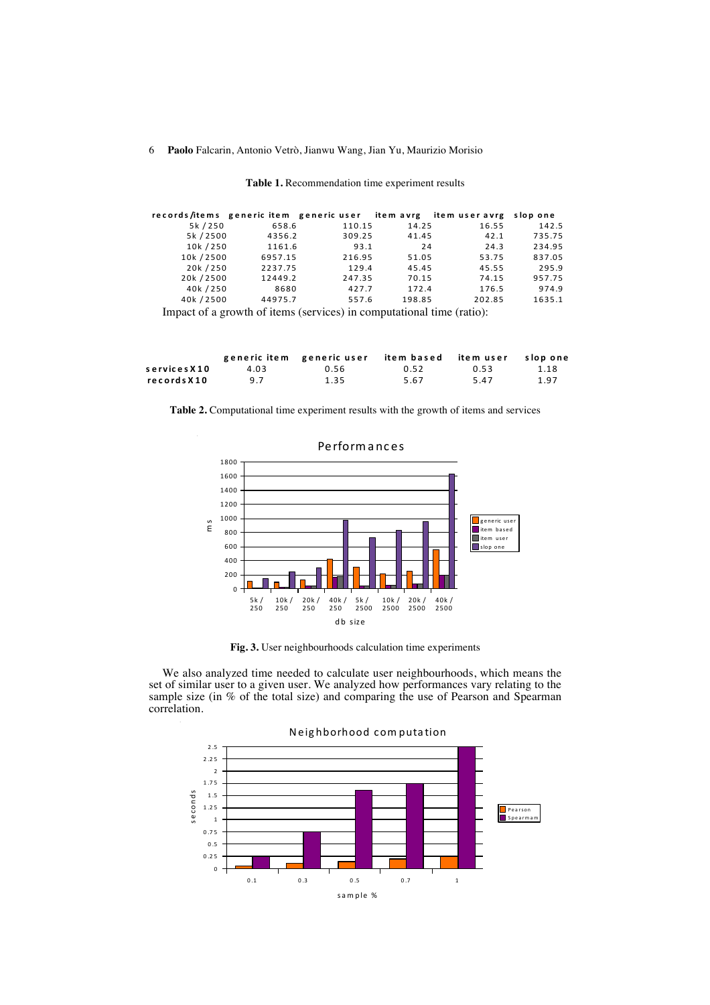| records/items generic item generic user item avrg item user avrg slop one |         |        |        |        |        |  |
|---------------------------------------------------------------------------|---------|--------|--------|--------|--------|--|
| 5k/250                                                                    | 658.6   | 110.15 | 14.25  | 16.55  | 142.5  |  |
| 5k/2500                                                                   | 4356.2  | 309.25 | 41.45  | 42.1   | 735.75 |  |
| 10k/250                                                                   | 1161.6  | 93.1   | 24     | 24.3   | 234.95 |  |
| 10k/2500                                                                  | 6957.15 | 216.95 | 51.05  | 53.75  | 837.05 |  |
| 20k/250                                                                   | 2237.75 | 129.4  | 45.45  | 45.55  | 295.9  |  |
| 20k/2500                                                                  | 12449.2 | 247.35 | 70.15  | 74.15  | 957.75 |  |
| 40k/250                                                                   | 8680    | 427.7  | 172.4  | 176.5  | 974.9  |  |
| 40k / 2500                                                                | 44975.7 | 557.6  | 198.85 | 202.85 | 1635.1 |  |
| $\mu$                                                                     |         |        |        |        |        |  |

Impact of a growth of items (services) in computational time (ratio):

|               |      | generic item generic user item based item user slop one |      |      |      |
|---------------|------|---------------------------------------------------------|------|------|------|
| services X 10 | 4.03 | 0.56                                                    | 0.52 | 0.53 | 1.18 |
| recordsX10    | 9.7  | 1.35                                                    | 5.67 | 5.47 | 1.97 |

| <b>Table 2.</b> Computational time experiment results with the growth of items and services |  |  |
|---------------------------------------------------------------------------------------------|--|--|
|                                                                                             |  |  |



**Fig. 3.** User neighbourhoods calculation time experiments

We also analyzed time needed to calculate user neighbourhoods, which means the set of similar user to a given user. We analyzed how performances vary relating to the sample size (in % of the total size) and comparing the use of Pearson and Spearman correlation.

Neig hborhood com puta tion

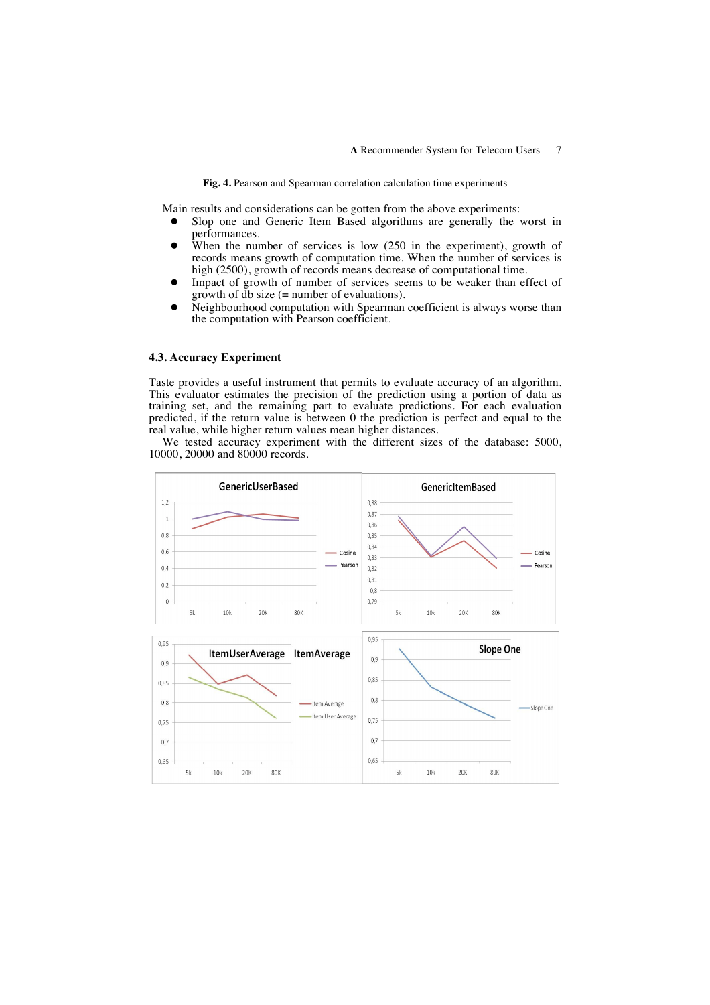**Fig. 4.** Pearson and Spearman correlation calculation time experiments

Main results and considerations can be gotten from the above experiments:

- Slop one and Generic Item Based algorithms are generally the worst in performances.
- When the number of services is low  $(250 \text{ in the experiment})$ , growth of records means growth of computation time. When the number of services is high (2500), growth of records means decrease of computational time.
- Impact of growth of number of services seems to be weaker than effect of growth of db size (= number of evaluations).
- Neighbourhood computation with Spearman coefficient is always worse than the computation with Pearson coefficient.

### **4.3. Accuracy Experiment**

Taste provides a useful instrument that permits to evaluate accuracy of an algorithm. This evaluator estimates the precision of the prediction using a portion of data as training set, and the remaining part to evaluate predictions. For each evaluation predicted, if the return value is between 0 the prediction is perfect and equal to the real value, while higher return values mean higher distances.

We tested accuracy experiment with the different sizes of the database: 5000, 10000, 20000 and 80000 records.

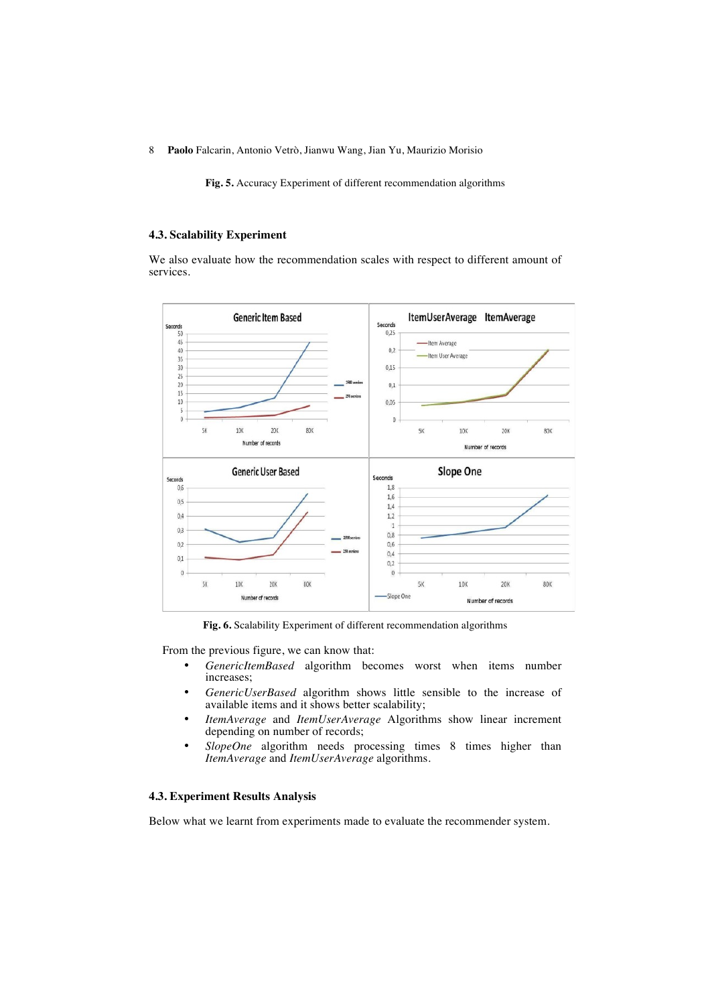**Fig. 5.** Accuracy Experiment of different recommendation algorithms

### **4.3. Scalability Experiment**

We also evaluate how the recommendation scales with respect to different amount of services.



**Fig. 6.** Scalability Experiment of different recommendation algorithms

From the previous figure, we can know that:

- *GenericItemBased* algorithm becomes worst when items number increases;
- *GenericUserBased* algorithm shows little sensible to the increase of available items and it shows better scalability;
- *ItemAverage* and *ItemUserAverage* Algorithms show linear increment depending on number of records;
- *SlopeOne* algorithm needs processing times 8 times higher than *ItemAverage* and *ItemUserAverage* algorithms.

### **4.3. Experiment Results Analysis**

Below what we learnt from experiments made to evaluate the recommender system.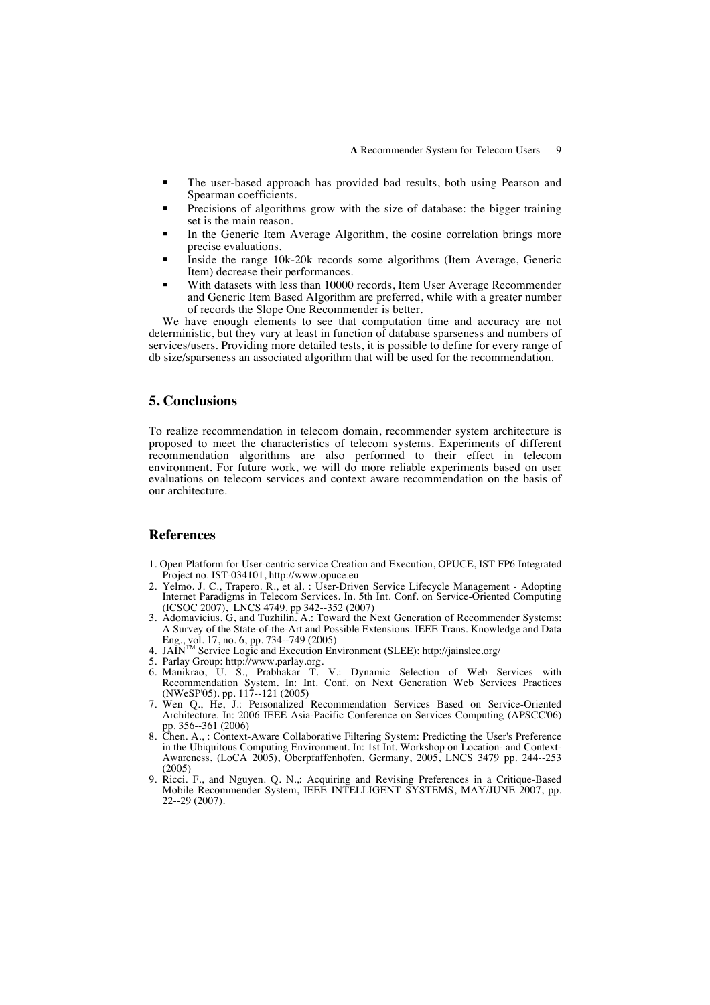- § The user-based approach has provided bad results, both using Pearson and Spearman coefficients.
- Precisions of algorithms grow with the size of database: the bigger training set is the main reason.
- In the Generic Item Average Algorithm, the cosine correlation brings more precise evaluations.
- Inside the range 10k-20k records some algorithms (Item Average, Generic Item) decrease their performances.
- With datasets with less than 10000 records, Item User Average Recommender and Generic Item Based Algorithm are preferred, while with a greater number of records the Slope One Recommender is better.

We have enough elements to see that computation time and accuracy are not deterministic, but they vary at least in function of database sparseness and numbers of services/users. Providing more detailed tests, it is possible to define for every range of db size/sparseness an associated algorithm that will be used for the recommendation.

## **5. Conclusions**

To realize recommendation in telecom domain, recommender system architecture is proposed to meet the characteristics of telecom systems. Experiments of different recommendation algorithms are also performed to their effect in telecom environment. For future work, we will do more reliable experiments based on user evaluations on telecom services and context aware recommendation on the basis of our architecture.

# **References**

- 1. Open Platform for User-centric service Creation and Execution, OPUCE, IST FP6 Integrated Project no. IST-034101, http://www.opuce.eu
- 2. Yelmo. J. C., Trapero. R., et al. : User-Driven Service Lifecycle Management Adopting Internet Paradigms in Telecom Services. In. 5th Int. Conf. on Service-Oriented Computing (ICSOC 2007), LNCS 4749. pp 342--352 (2007)
- 3. Adomavicius. G, and Tuzhilin. A.: Toward the Next Generation of Recommender Systems: A Survey of the State-of-the-Art and Possible Extensions. IEEE Trans. Knowledge and Data Eng., vol. 17, no. 6, pp. 734--749 (2005)
- 4. JAIN<sup>TM</sup> Service Logic and Execution Environment (SLEE): http://jainslee.org/
- 5. Parlay Group: http://www.parlay.org.
- 6. Manikrao, U. S., Prabhakar T. V.: Dynamic Selection of Web Services with Recommendation System. In: Int. Conf. on Next Generation Web Services Practices (NWeSP'05). pp. 117--121 (2005)
- 7. Wen Q., He, J.: Personalized Recommendation Services Based on Service-Oriented Architecture. In: 2006 IEEE Asia-Pacific Conference on Services Computing (APSCC'06) pp. 356--361 (2006)
- 8. Chen. A., : Context-Aware Collaborative Filtering System: Predicting the User's Preference in the Ubiquitous Computing Environment. In: 1st Int. Workshop on Location- and Context-Awareness, (LoCA 2005), Oberpfaffenhofen, Germany, 2005, LNCS 3479 pp. 244--253 (2005)
- 9. Ricci. F., and Nguyen. Q. N.,: Acquiring and Revising Preferences in a Critique-Based Mobile Recommender System, IEEE INTELLIGENT SYSTEMS, MAY/JUNE 2007, pp. 22--29 (2007).